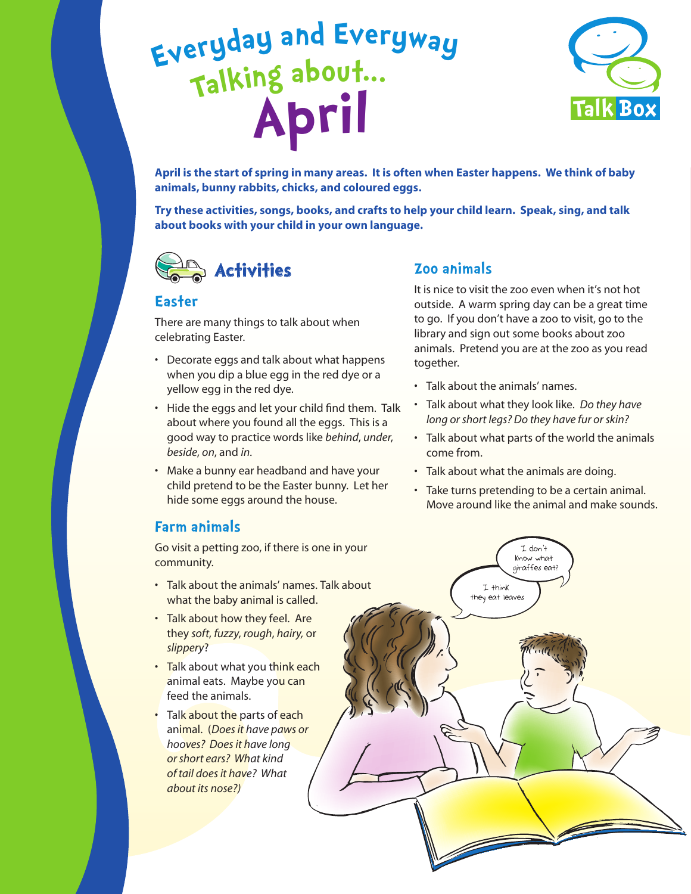# **<sup>E</sup>ve<sup>r</sup>yda<sup>y</sup> <sup>a</sup>n<sup>d</sup> <sup>E</sup>veryw<sup>a</sup><sup>y</sup> <sup>T</sup>alking <sup>a</sup>b<sup>o</sup>ut... Apri<sup>l</sup>**



**April is the start of spring in many areas. It is often when Easter happens. We think of baby animals, bunny rabbits, chicks, and coloured eggs.** 

**Try these activities, songs, books, and crafts to help your child learn. Speak, sing, and talk about books with your child in your own language.** 



#### **Easter**

There are many things to talk about when celebrating Easter.

- Decorate eggs and talk about what happens when you dip a blue egg in the red dye or a yellow egg in the red dye.
- Hide the eggs and let your child find them. Talk about where you found all the eggs. This is a good way to practice words like *behind*, *under*, *beside*, *on*, and *in*.
- Make a bunny ear headband and have your child pretend to be the Easter bunny. Let her hide some eggs around the house.

#### **Farm animals**

Go visit a petting zoo, if there is one in your community.

- Talk about the animals' names. Talk about what the baby animal is called.
- Talk about how they feel. Are they *soft*, *fuzzy*, *rough*, *hairy,* or *slippery*?
- Talk about what you think each animal eats. Maybe you can feed the animals.
- Talk about the parts of each animal. (*Does it have paws or hooves? Does it have long or short ears? What kind of tail does it have? What about its nose?)*

#### **Zoo animals**

It is nice to visit the zoo even when it's not hot outside. A warm spring day can be a great time to go. If you don't have a zoo to visit, go to the library and sign out some books about zoo animals. Pretend you are at the zoo as you read together.

• Talk about the animals' names.

I think they eat leaves

- Talk about what they look like. *Do they have long or short legs? Do they have fur or skin?*
- Talk about what parts of the world the animals come from.
- Talk about what the animals are doing.
- Take turns pretending to be a certain animal. Move around like the animal and make sounds.

I don't Know what giraffes eat?